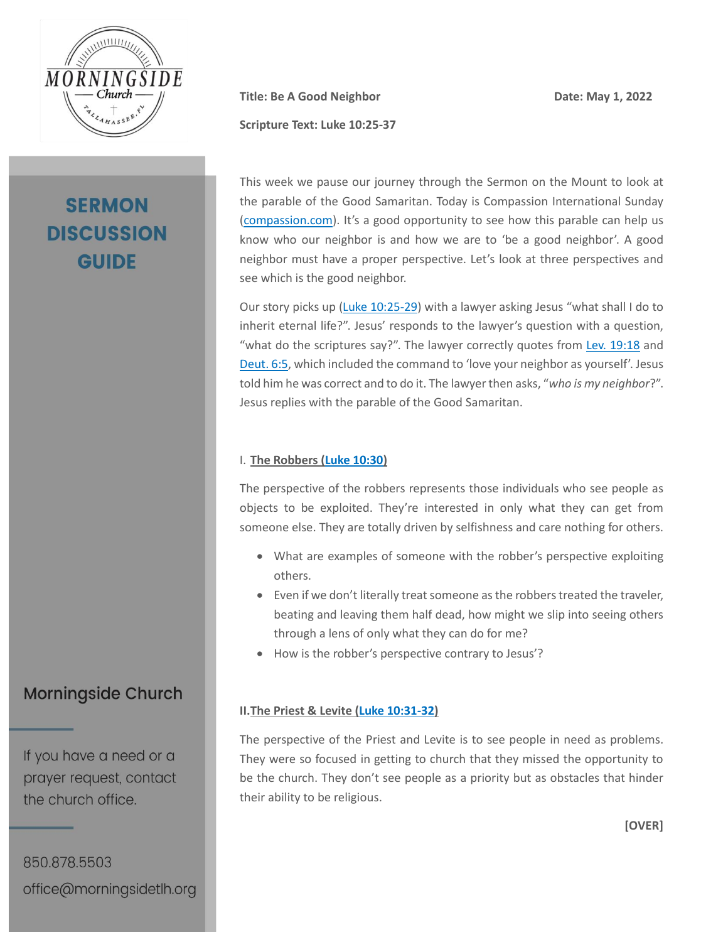

# **SERMON DISCUSSION GUIDE**

**Title:** Be A Good Neighbor Date: May 1, 2022

**Scripture Text: Luke 10:25-37** 

This week we pause our journey through the Sermon on the Mount to look at the parable of the Good Samaritan. Today is Compassion International Sunday [\(compassion.com\)](https://www.compassion.com/). It's a good opportunity to see how this parable can help us know who our neighbor is and how we are to 'be a good neighbor'. A good neighbor must have a proper perspective. Let's look at three perspectives and see which is the good neighbor.

Our story picks up [\(Luke 10:25-29\)](https://my.bible.com/bible/2692/LUK.10.25-29.nasb2020) with a lawyer asking Jesus "what shall I do to inherit eternal life?". Jesus' responds to the lawyer's question with a question, "what do the scriptures say?". The lawyer correctly quotes from Lev. [19:18](https://my.bible.com/bible/2692/LEV.19.18.nasb2020) and [Deut. 6:5,](https://my.bible.com/bible/2692/DEU.6.5.nasb2020) which included the command to 'love your neighbor as yourself'. Jesus told him he was correct and to do it. The lawyer then asks, "*who is my neighbor*?". Jesus replies with the parable of the Good Samaritan.

### I. **The Robbers [\(Luke 10:30\)](https://my.bible.com/bible/2692/LUK.10.30.nasb2020)**

The perspective of the robbers represents those individuals who see people as objects to be exploited. They're interested in only what they can get from someone else. They are totally driven by selfishness and care nothing for others.

- What are examples of someone with the robber's perspective exploiting others.
- Even if we don't literally treat someone as the robbers treated the traveler, beating and leaving them half dead, how might we slip into seeing others through a lens of only what they can do for me?
- How is the robber's perspective contrary to Jesus'?

### **II.The Priest & Levite [\(Luke 10:31-32\)](https://my.bible.com/bible/2692/LUK.10.31-32.nasb2020)**

The perspective of the Priest and Levite is to see people in need as problems. They were so focused in getting to church that they missed the opportunity to be the church. They don't see people as a priority but as obstacles that hinder their ability to be religious.

## **Morningside Church**

If you have a need or a prayer request, contact the church office.

850.878.5503 office@morningsidetlh.org **[OVER]**